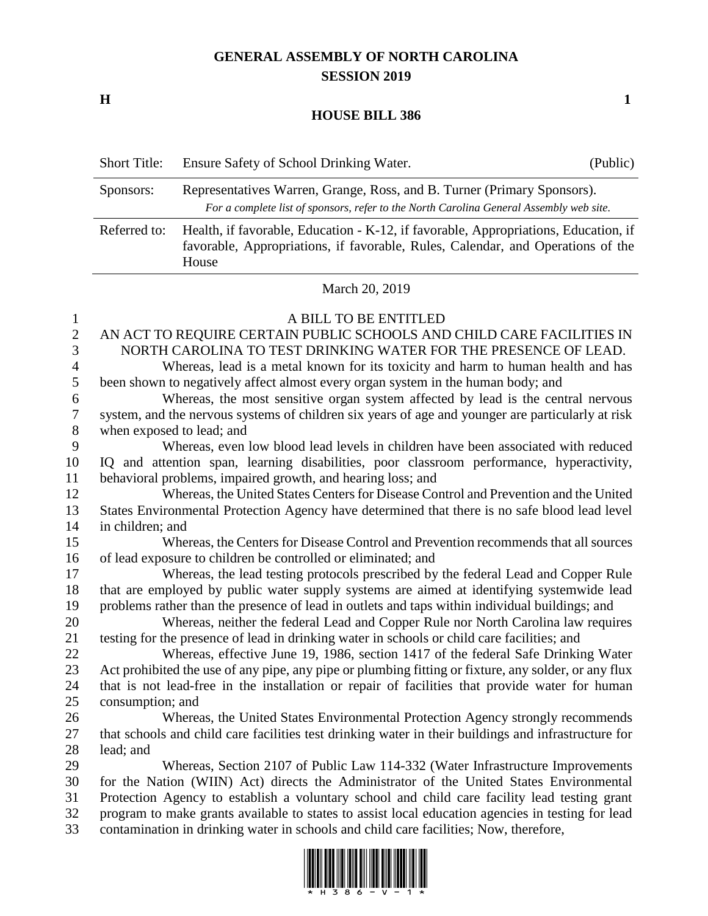## **GENERAL ASSEMBLY OF NORTH CAROLINA SESSION 2019**

**H 1**

## **HOUSE BILL 386**

| <b>Short Title:</b> | Ensure Safety of School Drinking Water.                                                                                                                                         | (Public) |
|---------------------|---------------------------------------------------------------------------------------------------------------------------------------------------------------------------------|----------|
| Sponsors:           | Representatives Warren, Grange, Ross, and B. Turner (Primary Sponsors).<br>For a complete list of sponsors, refer to the North Carolina General Assembly web site.              |          |
| Referred to:        | Health, if favorable, Education - K-12, if favorable, Appropriations, Education, if<br>favorable, Appropriations, if favorable, Rules, Calendar, and Operations of the<br>House |          |
|                     | $\overline{11}$ $\overline{1}$ $\overline{0}$ $\overline{0}$ $\overline{0}$ $\overline{10}$                                                                                     |          |

## March 20, 2019

| $\mathbf{1}$     | A BILL TO BE ENTITLED                                                                                |
|------------------|------------------------------------------------------------------------------------------------------|
| $\overline{2}$   | AN ACT TO REQUIRE CERTAIN PUBLIC SCHOOLS AND CHILD CARE FACILITIES IN                                |
| 3                | NORTH CAROLINA TO TEST DRINKING WATER FOR THE PRESENCE OF LEAD.                                      |
| $\overline{4}$   | Whereas, lead is a metal known for its toxicity and harm to human health and has                     |
| 5                | been shown to negatively affect almost every organ system in the human body; and                     |
| 6                | Whereas, the most sensitive organ system affected by lead is the central nervous                     |
| $\boldsymbol{7}$ | system, and the nervous systems of children six years of age and younger are particularly at risk    |
| 8                | when exposed to lead; and                                                                            |
| 9                | Whereas, even low blood lead levels in children have been associated with reduced                    |
| 10               | IQ and attention span, learning disabilities, poor classroom performance, hyperactivity,             |
| 11               | behavioral problems, impaired growth, and hearing loss; and                                          |
| 12               | Whereas, the United States Centers for Disease Control and Prevention and the United                 |
| 13               | States Environmental Protection Agency have determined that there is no safe blood lead level        |
| 14               | in children; and                                                                                     |
| 15               | Whereas, the Centers for Disease Control and Prevention recommends that all sources                  |
| 16               | of lead exposure to children be controlled or eliminated; and                                        |
| 17               | Whereas, the lead testing protocols prescribed by the federal Lead and Copper Rule                   |
| 18               | that are employed by public water supply systems are aimed at identifying systemwide lead            |
| 19               | problems rather than the presence of lead in outlets and taps within individual buildings; and       |
| 20               | Whereas, neither the federal Lead and Copper Rule nor North Carolina law requires                    |
| 21               | testing for the presence of lead in drinking water in schools or child care facilities; and          |
| 22               | Whereas, effective June 19, 1986, section 1417 of the federal Safe Drinking Water                    |
| 23               | Act prohibited the use of any pipe, any pipe or plumbing fitting or fixture, any solder, or any flux |
| 24               | that is not lead-free in the installation or repair of facilities that provide water for human       |
| 25               | consumption; and                                                                                     |
| 26               | Whereas, the United States Environmental Protection Agency strongly recommends                       |
| 27               | that schools and child care facilities test drinking water in their buildings and infrastructure for |
| 28               | lead; and                                                                                            |
| 29               | Whereas, Section 2107 of Public Law 114-332 (Water Infrastructure Improvements                       |
| 30               | for the Nation (WIIN) Act) directs the Administrator of the United States Environmental              |
| 31               | Protection Agency to establish a voluntary school and child care facility lead testing grant         |
| 32<br>33         | program to make grants available to states to assist local education agencies in testing for lead    |
|                  | contamination in drinking water in schools and child care facilities; Now, therefore,                |

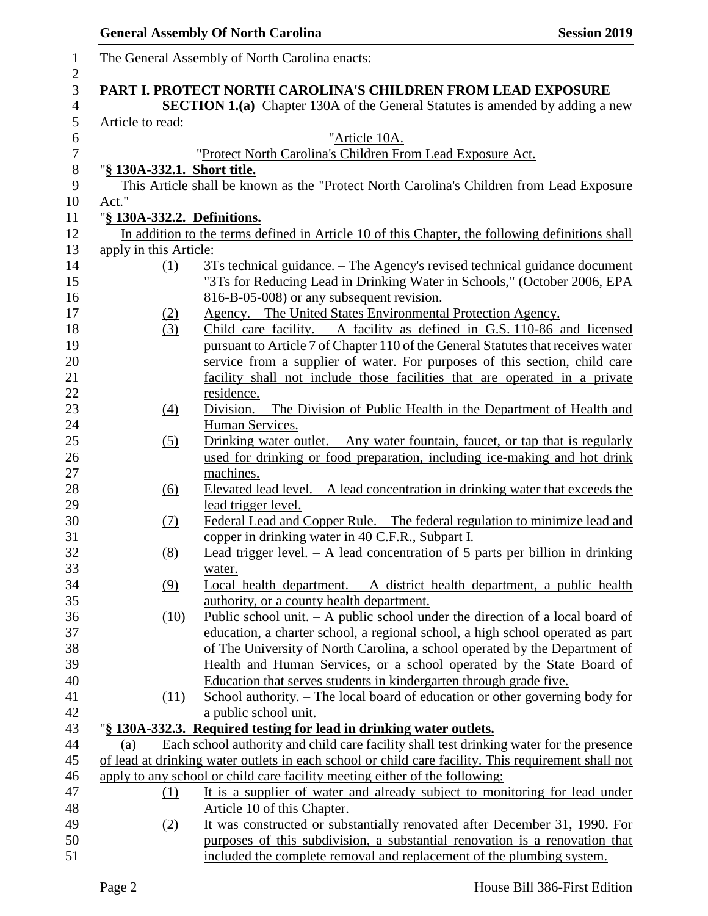|                            |                             | <b>General Assembly Of North Carolina</b>                                                                                                                                                       | <b>Session 2019</b> |
|----------------------------|-----------------------------|-------------------------------------------------------------------------------------------------------------------------------------------------------------------------------------------------|---------------------|
| $\mathbf{1}$<br>$\sqrt{2}$ |                             | The General Assembly of North Carolina enacts:                                                                                                                                                  |                     |
| 3                          |                             | PART I. PROTECT NORTH CAROLINA'S CHILDREN FROM LEAD EXPOSURE                                                                                                                                    |                     |
| $\overline{4}$             |                             | <b>SECTION 1.(a)</b> Chapter 130A of the General Statutes is amended by adding a new                                                                                                            |                     |
| 5                          | Article to read:            |                                                                                                                                                                                                 |                     |
| 6                          |                             | "Article 10A.                                                                                                                                                                                   |                     |
| $\boldsymbol{7}$           |                             | "Protect North Carolina's Children From Lead Exposure Act.                                                                                                                                      |                     |
| $\,8\,$                    | "§ 130A-332.1. Short title. |                                                                                                                                                                                                 |                     |
| 9                          |                             | This Article shall be known as the "Protect North Carolina's Children from Lead Exposure                                                                                                        |                     |
| 10                         | Act."                       |                                                                                                                                                                                                 |                     |
| 11                         | "§ 130A-332.2. Definitions. |                                                                                                                                                                                                 |                     |
| 12                         |                             | In addition to the terms defined in Article 10 of this Chapter, the following definitions shall                                                                                                 |                     |
| 13                         | apply in this Article:      |                                                                                                                                                                                                 |                     |
| 14                         | (1)                         | 3Ts technical guidance. – The Agency's revised technical guidance document                                                                                                                      |                     |
| 15                         |                             | "3Ts for Reducing Lead in Drinking Water in Schools," (October 2006, EPA                                                                                                                        |                     |
| 16                         |                             | 816-B-05-008) or any subsequent revision.                                                                                                                                                       |                     |
| 17                         | (2)                         | Agency. - The United States Environmental Protection Agency.                                                                                                                                    |                     |
| 18                         | (3)                         | Child care facility. $-$ A facility as defined in G.S. 110-86 and licensed                                                                                                                      |                     |
| 19                         |                             | pursuant to Article 7 of Chapter 110 of the General Statutes that receives water                                                                                                                |                     |
| 20                         |                             | service from a supplier of water. For purposes of this section, child care                                                                                                                      |                     |
| 21                         |                             | facility shall not include those facilities that are operated in a private                                                                                                                      |                     |
| 22                         |                             | residence.                                                                                                                                                                                      |                     |
| 23                         | $\left(4\right)$            | Division. – The Division of Public Health in the Department of Health and                                                                                                                       |                     |
| 24                         |                             | Human Services.                                                                                                                                                                                 |                     |
| $25\,$                     | (5)                         | Drinking water outlet. $-$ Any water fountain, faucet, or tap that is regularly                                                                                                                 |                     |
| 26                         |                             | used for drinking or food preparation, including ice-making and hot drink                                                                                                                       |                     |
| 27                         |                             | machines.                                                                                                                                                                                       |                     |
| 28                         | (6)                         | Elevated lead level. $- A$ lead concentration in drinking water that exceeds the                                                                                                                |                     |
| 29                         |                             | lead trigger level.                                                                                                                                                                             |                     |
| 30                         | (7)                         | Federal Lead and Copper Rule. – The federal regulation to minimize lead and                                                                                                                     |                     |
| 31                         |                             | copper in drinking water in 40 C.F.R., Subpart I.                                                                                                                                               |                     |
| 32<br>33                   | (8)                         | Lead trigger level. $- A$ lead concentration of 5 parts per billion in drinking                                                                                                                 |                     |
|                            |                             | water.                                                                                                                                                                                          |                     |
| 34<br>35                   | (9)                         | Local health department. $- A$ district health department, a public health                                                                                                                      |                     |
|                            |                             | authority, or a county health department.                                                                                                                                                       |                     |
| 36<br>37                   | (10)                        | Public school unit. $-$ A public school under the direction of a local board of                                                                                                                 |                     |
| 38                         |                             | education, a charter school, a regional school, a high school operated as part<br>of The University of North Carolina, a school operated by the Department of                                   |                     |
| 39                         |                             | Health and Human Services, or a school operated by the State Board of                                                                                                                           |                     |
| 40                         |                             | Education that serves students in kindergarten through grade five.                                                                                                                              |                     |
| 41                         |                             | School authority. – The local board of education or other governing body for                                                                                                                    |                     |
| 42                         | (11)                        |                                                                                                                                                                                                 |                     |
| 43                         |                             | a public school unit.<br>"§ 130A-332.3. Required testing for lead in drinking water outlets.                                                                                                    |                     |
|                            |                             |                                                                                                                                                                                                 |                     |
| 44<br>45                   | (a)                         | Each school authority and child care facility shall test drinking water for the presence<br>of lead at drinking water outlets in each school or child care facility. This requirement shall not |                     |
|                            |                             |                                                                                                                                                                                                 |                     |
| 46<br>47                   |                             | apply to any school or child care facility meeting either of the following:<br>It is a supplier of water and already subject to monitoring for lead under                                       |                     |
| 48                         | $\Omega$                    | Article 10 of this Chapter.                                                                                                                                                                     |                     |
| 49                         | (2)                         | It was constructed or substantially renovated after December 31, 1990. For                                                                                                                      |                     |
| 50                         |                             | purposes of this subdivision, a substantial renovation is a renovation that                                                                                                                     |                     |
| 51                         |                             | included the complete removal and replacement of the plumbing system.                                                                                                                           |                     |
|                            |                             |                                                                                                                                                                                                 |                     |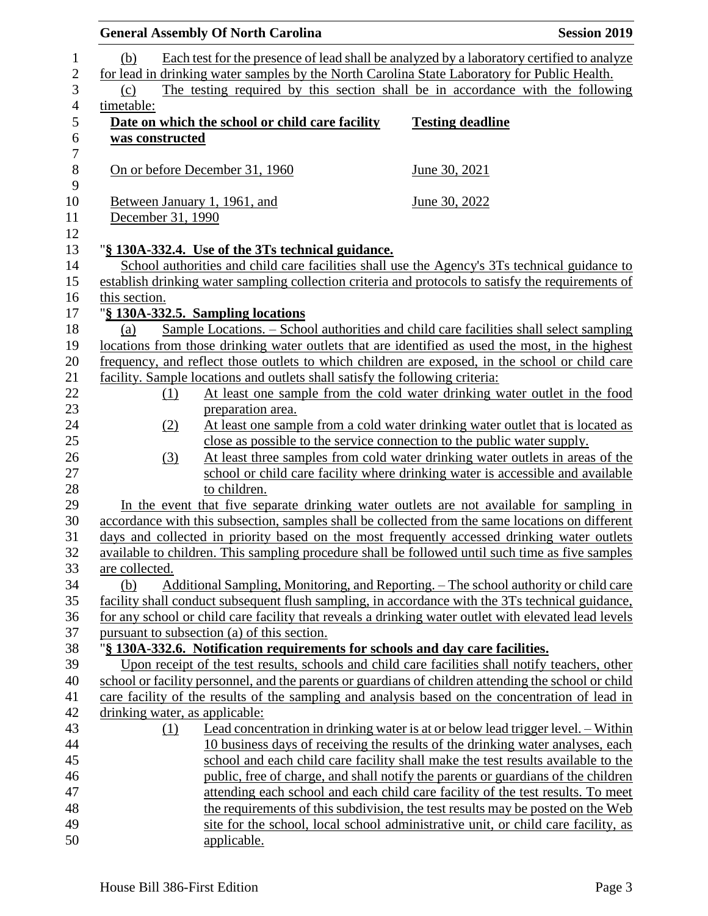|                   |     | <b>General Assembly Of North Carolina</b>                                     | <b>Session 2019</b>                                                                                                                                                |
|-------------------|-----|-------------------------------------------------------------------------------|--------------------------------------------------------------------------------------------------------------------------------------------------------------------|
| (b)               |     |                                                                               | Each test for the presence of lead shall be analyzed by a laboratory certified to analyze                                                                          |
|                   |     |                                                                               | for lead in drinking water samples by the North Carolina State Laboratory for Public Health.                                                                       |
| (c)               |     |                                                                               | The testing required by this section shall be in accordance with the following                                                                                     |
| timetable:        |     |                                                                               |                                                                                                                                                                    |
|                   |     | Date on which the school or child care facility                               | <b>Testing deadline</b>                                                                                                                                            |
| was constructed   |     |                                                                               |                                                                                                                                                                    |
|                   |     |                                                                               |                                                                                                                                                                    |
|                   |     | On or before December 31, 1960                                                | June 30, 2021                                                                                                                                                      |
|                   |     |                                                                               |                                                                                                                                                                    |
|                   |     | Between January 1, 1961, and                                                  | June 30, 2022                                                                                                                                                      |
| December 31, 1990 |     |                                                                               |                                                                                                                                                                    |
|                   |     |                                                                               |                                                                                                                                                                    |
|                   |     | "§ 130A-332.4. Use of the 3Ts technical guidance.                             |                                                                                                                                                                    |
|                   |     |                                                                               | School authorities and child care facilities shall use the Agency's 3Ts technical guidance to                                                                      |
|                   |     |                                                                               | establish drinking water sampling collection criteria and protocols to satisfy the requirements of                                                                 |
| this section.     |     |                                                                               |                                                                                                                                                                    |
|                   |     | "§ 130A-332.5. Sampling locations                                             |                                                                                                                                                                    |
| (a)               |     |                                                                               | Sample Locations. – School authorities and child care facilities shall select sampling                                                                             |
|                   |     |                                                                               | locations from those drinking water outlets that are identified as used the most, in the highest                                                                   |
|                   |     |                                                                               | frequency, and reflect those outlets to which children are exposed, in the school or child care                                                                    |
|                   |     | facility. Sample locations and outlets shall satisfy the following criteria:  | At least one sample from the cold water drinking water outlet in the food                                                                                          |
|                   | (1) | preparation area.                                                             |                                                                                                                                                                    |
|                   | (2) |                                                                               | At least one sample from a cold water drinking water outlet that is located as                                                                                     |
|                   |     |                                                                               | close as possible to the service connection to the public water supply.                                                                                            |
|                   | (3) |                                                                               | At least three samples from cold water drinking water outlets in areas of the                                                                                      |
|                   |     |                                                                               | school or child care facility where drinking water is accessible and available                                                                                     |
|                   |     | to children.                                                                  |                                                                                                                                                                    |
|                   |     |                                                                               | In the event that five separate drinking water outlets are not available for sampling in                                                                           |
|                   |     |                                                                               | accordance with this subsection, samples shall be collected from the same locations on different                                                                   |
|                   |     |                                                                               | days and collected in priority based on the most frequently accessed drinking water outlets                                                                        |
|                   |     |                                                                               | available to children. This sampling procedure shall be followed until such time as five samples                                                                   |
| are collected.    |     |                                                                               |                                                                                                                                                                    |
| (b)               |     |                                                                               | Additional Sampling, Monitoring, and Reporting. – The school authority or child care                                                                               |
|                   |     |                                                                               | facility shall conduct subsequent flush sampling, in accordance with the 3Ts technical guidance,                                                                   |
|                   |     |                                                                               | for any school or child care facility that reveals a drinking water outlet with elevated lead levels                                                               |
|                   |     | pursuant to subsection (a) of this section.                                   |                                                                                                                                                                    |
|                   |     | "§ 130A-332.6. Notification requirements for schools and day care facilities. |                                                                                                                                                                    |
|                   |     |                                                                               | Upon receipt of the test results, schools and child care facilities shall notify teachers, other                                                                   |
|                   |     |                                                                               | school or facility personnel, and the parents or guardians of children attending the school or child                                                               |
|                   |     |                                                                               | care facility of the results of the sampling and analysis based on the concentration of lead in                                                                    |
|                   |     | drinking water, as applicable:                                                |                                                                                                                                                                    |
|                   | (1) |                                                                               | Lead concentration in drinking water is at or below lead trigger level. – Within                                                                                   |
|                   |     |                                                                               | 10 business days of receiving the results of the drinking water analyses, each                                                                                     |
|                   |     |                                                                               | school and each child care facility shall make the test results available to the                                                                                   |
|                   |     |                                                                               | public, free of charge, and shall notify the parents or guardians of the children                                                                                  |
|                   |     |                                                                               | attending each school and each child care facility of the test results. To meet<br>the requirements of this subdivision, the test results may be posted on the Web |
|                   |     |                                                                               | site for the school, local school administrative unit, or child care facility, as                                                                                  |
|                   |     | applicable.                                                                   |                                                                                                                                                                    |
|                   |     |                                                                               |                                                                                                                                                                    |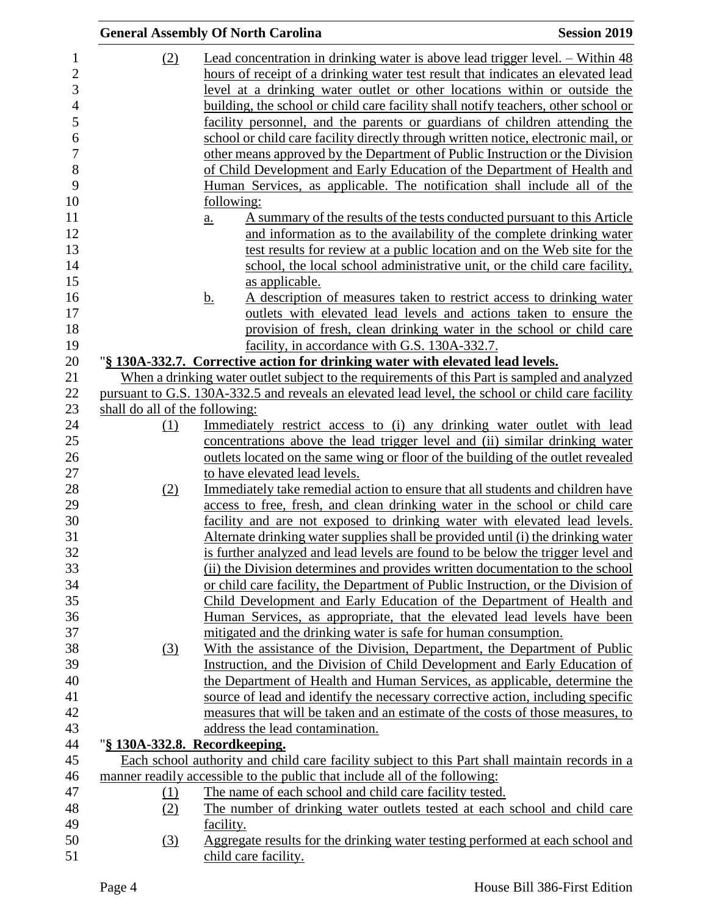|                                | <b>General Assembly Of North Carolina</b>                                                                                                                                                          | <b>Session 2019</b> |
|--------------------------------|----------------------------------------------------------------------------------------------------------------------------------------------------------------------------------------------------|---------------------|
| (2)                            | Lead concentration in drinking water is above lead trigger level. – Within 48                                                                                                                      |                     |
|                                | hours of receipt of a drinking water test result that indicates an elevated lead                                                                                                                   |                     |
|                                | level at a drinking water outlet or other locations within or outside the                                                                                                                          |                     |
|                                | building, the school or child care facility shall notify teachers, other school or                                                                                                                 |                     |
|                                | facility personnel, and the parents or guardians of children attending the                                                                                                                         |                     |
|                                | school or child care facility directly through written notice, electronic mail, or                                                                                                                 |                     |
|                                | other means approved by the Department of Public Instruction or the Division                                                                                                                       |                     |
|                                | of Child Development and Early Education of the Department of Health and                                                                                                                           |                     |
|                                | Human Services, as applicable. The notification shall include all of the                                                                                                                           |                     |
|                                |                                                                                                                                                                                                    |                     |
|                                | following:<br>A summary of the results of the tests conducted pursuant to this Article                                                                                                             |                     |
|                                | $\underline{a}$ .<br>and information as to the availability of the complete drinking water                                                                                                         |                     |
|                                | test results for review at a public location and on the Web site for the                                                                                                                           |                     |
|                                |                                                                                                                                                                                                    |                     |
|                                | school, the local school administrative unit, or the child care facility,                                                                                                                          |                     |
|                                | as applicable.                                                                                                                                                                                     |                     |
|                                | A description of measures taken to restrict access to drinking water<br><u>b.</u>                                                                                                                  |                     |
|                                | outlets with elevated lead levels and actions taken to ensure the                                                                                                                                  |                     |
|                                | provision of fresh, clean drinking water in the school or child care                                                                                                                               |                     |
|                                | facility, in accordance with G.S. 130A-332.7.                                                                                                                                                      |                     |
|                                | "§ 130A-332.7. Corrective action for drinking water with elevated lead levels.                                                                                                                     |                     |
|                                | When a drinking water outlet subject to the requirements of this Part is sampled and analyzed<br>pursuant to G.S. 130A-332.5 and reveals an elevated lead level, the school or child care facility |                     |
| shall do all of the following: |                                                                                                                                                                                                    |                     |
| (1)                            | Immediately restrict access to (i) any drinking water outlet with lead                                                                                                                             |                     |
|                                | concentrations above the lead trigger level and (ii) similar drinking water                                                                                                                        |                     |
|                                | outlets located on the same wing or floor of the building of the outlet revealed                                                                                                                   |                     |
|                                | to have elevated lead levels.                                                                                                                                                                      |                     |
| (2)                            | Immediately take remedial action to ensure that all students and children have                                                                                                                     |                     |
|                                | access to free, fresh, and clean drinking water in the school or child care                                                                                                                        |                     |
|                                | facility and are not exposed to drinking water with elevated lead levels.                                                                                                                          |                     |
|                                | Alternate drinking water supplies shall be provided until (i) the drinking water                                                                                                                   |                     |
|                                | is further analyzed and lead levels are found to be below the trigger level and                                                                                                                    |                     |
|                                | (ii) the Division determines and provides written documentation to the school                                                                                                                      |                     |
|                                | or child care facility, the Department of Public Instruction, or the Division of                                                                                                                   |                     |
|                                | Child Development and Early Education of the Department of Health and                                                                                                                              |                     |
|                                | Human Services, as appropriate, that the elevated lead levels have been                                                                                                                            |                     |
|                                | mitigated and the drinking water is safe for human consumption.                                                                                                                                    |                     |
| $\left(3\right)$               | With the assistance of the Division, Department, the Department of Public                                                                                                                          |                     |
|                                | Instruction, and the Division of Child Development and Early Education of                                                                                                                          |                     |
|                                | the Department of Health and Human Services, as applicable, determine the                                                                                                                          |                     |
|                                | source of lead and identify the necessary corrective action, including specific                                                                                                                    |                     |
|                                | measures that will be taken and an estimate of the costs of those measures, to                                                                                                                     |                     |
|                                | address the lead contamination.                                                                                                                                                                    |                     |
|                                | "§ 130A-332.8. Recordkeeping.                                                                                                                                                                      |                     |
|                                | Each school authority and child care facility subject to this Part shall maintain records in a                                                                                                     |                     |
|                                | manner readily accessible to the public that include all of the following:                                                                                                                         |                     |
| <u>(1)</u>                     | The name of each school and child care facility tested.                                                                                                                                            |                     |
| (2)                            | The number of drinking water outlets tested at each school and child care                                                                                                                          |                     |
|                                | facility.                                                                                                                                                                                          |                     |
| (3)                            | Aggregate results for the drinking water testing performed at each school and                                                                                                                      |                     |
|                                | child care facility.                                                                                                                                                                               |                     |
|                                |                                                                                                                                                                                                    |                     |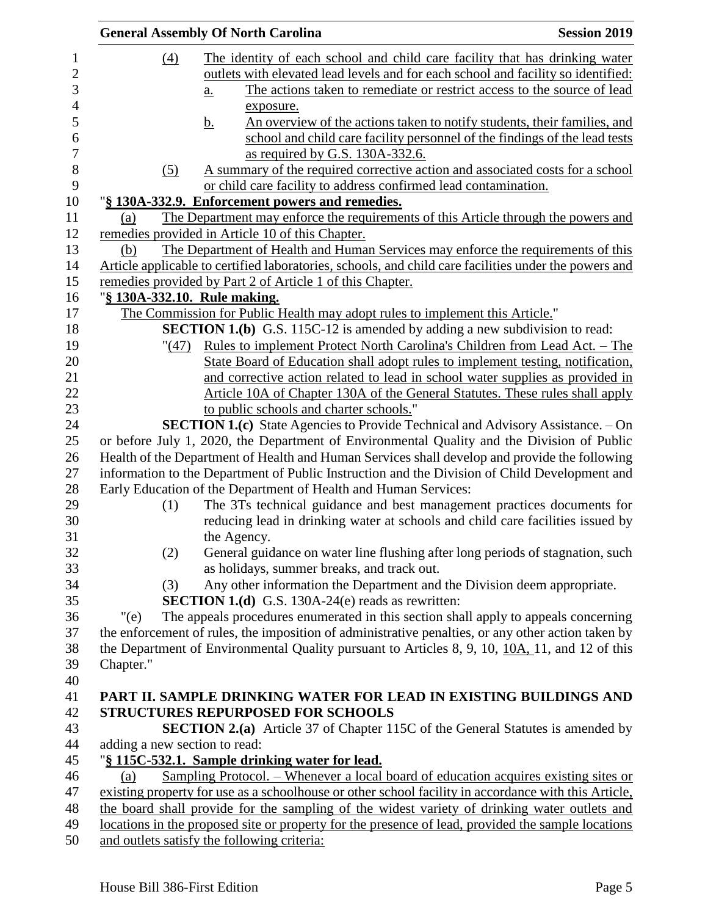|                               | <b>General Assembly Of North Carolina</b>                                                             | <b>Session 2019</b> |
|-------------------------------|-------------------------------------------------------------------------------------------------------|---------------------|
| (4)                           | The identity of each school and child care facility that has drinking water                           |                     |
|                               | outlets with elevated lead levels and for each school and facility so identified:                     |                     |
|                               | The actions taken to remediate or restrict access to the source of lead                               |                     |
|                               | $\underline{a}$ .                                                                                     |                     |
|                               | exposure.                                                                                             |                     |
|                               | An overview of the actions taken to notify students, their families, and<br><u>b.</u>                 |                     |
|                               | school and child care facility personnel of the findings of the lead tests                            |                     |
|                               | as required by G.S. 130A-332.6.                                                                       |                     |
| (5)                           | A summary of the required corrective action and associated costs for a school                         |                     |
|                               | or child care facility to address confirmed lead contamination.                                       |                     |
|                               | "§ 130A-332.9. Enforcement powers and remedies.                                                       |                     |
| (a)                           | The Department may enforce the requirements of this Article through the powers and                    |                     |
|                               | remedies provided in Article 10 of this Chapter.                                                      |                     |
| (b)                           | The Department of Health and Human Services may enforce the requirements of this                      |                     |
|                               | Article applicable to certified laboratories, schools, and child care facilities under the powers and |                     |
|                               | remedies provided by Part 2 of Article 1 of this Chapter.                                             |                     |
|                               | "§ 130A-332.10. Rule making.                                                                          |                     |
|                               | The Commission for Public Health may adopt rules to implement this Article."                          |                     |
|                               | <b>SECTION 1.(b)</b> G.S. 115C-12 is amended by adding a new subdivision to read:                     |                     |
| " <u>(47</u> )                | Rules to implement Protect North Carolina's Children from Lead Act. - The                             |                     |
|                               | State Board of Education shall adopt rules to implement testing, notification,                        |                     |
|                               | and corrective action related to lead in school water supplies as provided in                         |                     |
|                               | Article 10A of Chapter 130A of the General Statutes. These rules shall apply                          |                     |
|                               | to public schools and charter schools."                                                               |                     |
|                               | <b>SECTION 1.(c)</b> State Agencies to Provide Technical and Advisory Assistance. – On                |                     |
|                               | or before July 1, 2020, the Department of Environmental Quality and the Division of Public            |                     |
|                               | Health of the Department of Health and Human Services shall develop and provide the following         |                     |
|                               | information to the Department of Public Instruction and the Division of Child Development and         |                     |
|                               | Early Education of the Department of Health and Human Services:                                       |                     |
| (1)                           | The 3Ts technical guidance and best management practices documents for                                |                     |
|                               | reducing lead in drinking water at schools and child care facilities issued by                        |                     |
|                               | the Agency.                                                                                           |                     |
| (2)                           | General guidance on water line flushing after long periods of stagnation, such                        |                     |
|                               | as holidays, summer breaks, and track out.                                                            |                     |
| (3)                           | Any other information the Department and the Division deem appropriate.                               |                     |
|                               | <b>SECTION 1.(d)</b> G.S. 130A-24(e) reads as rewritten:                                              |                     |
| " $(e)$                       | The appeals procedures enumerated in this section shall apply to appeals concerning                   |                     |
|                               | the enforcement of rules, the imposition of administrative penalties, or any other action taken by    |                     |
|                               | the Department of Environmental Quality pursuant to Articles 8, 9, 10, 10A, 11, and 12 of this        |                     |
| Chapter."                     |                                                                                                       |                     |
|                               |                                                                                                       |                     |
|                               | PART II. SAMPLE DRINKING WATER FOR LEAD IN EXISTING BUILDINGS AND                                     |                     |
|                               | <b>STRUCTURES REPURPOSED FOR SCHOOLS</b>                                                              |                     |
|                               | <b>SECTION 2.(a)</b> Article 37 of Chapter 115C of the General Statutes is amended by                 |                     |
| adding a new section to read: |                                                                                                       |                     |
|                               | "§ 115C-532.1. Sample drinking water for lead.                                                        |                     |
| (a)                           | <u>Sampling Protocol. – Whenever a local board of education acquires existing sites or</u>            |                     |
|                               | existing property for use as a schoolhouse or other school facility in accordance with this Article,  |                     |
|                               | the board shall provide for the sampling of the widest variety of drinking water outlets and          |                     |
|                               | locations in the proposed site or property for the presence of lead, provided the sample locations    |                     |
|                               | and outlets satisfy the following criteria:                                                           |                     |
|                               |                                                                                                       |                     |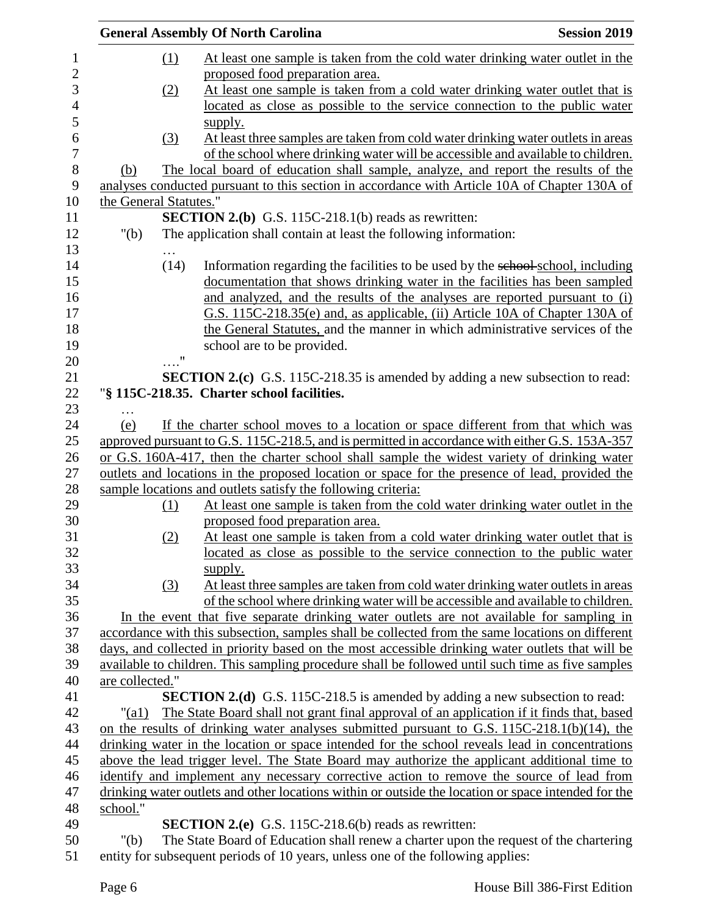|                 |                        | <b>General Assembly Of North Carolina</b>                                                           | <b>Session 2019</b> |
|-----------------|------------------------|-----------------------------------------------------------------------------------------------------|---------------------|
|                 | (1)                    | At least one sample is taken from the cold water drinking water outlet in the                       |                     |
|                 |                        | proposed food preparation area.                                                                     |                     |
|                 | (2)                    | At least one sample is taken from a cold water drinking water outlet that is                        |                     |
|                 |                        | located as close as possible to the service connection to the public water                          |                     |
|                 |                        | supply.                                                                                             |                     |
|                 | (3)                    | At least three samples are taken from cold water drinking water outlets in areas                    |                     |
|                 |                        | of the school where drinking water will be accessible and available to children.                    |                     |
| (b)             |                        | The local board of education shall sample, analyze, and report the results of the                   |                     |
|                 |                        | analyses conducted pursuant to this section in accordance with Article 10A of Chapter 130A of       |                     |
|                 | the General Statutes." |                                                                                                     |                     |
|                 |                        | <b>SECTION 2.(b)</b> G.S. 115C-218.1(b) reads as rewritten:                                         |                     |
| " $(b)$         |                        | The application shall contain at least the following information:                                   |                     |
|                 |                        |                                                                                                     |                     |
|                 | (14)                   | Information regarding the facilities to be used by the school-school, including                     |                     |
|                 |                        | documentation that shows drinking water in the facilities has been sampled                          |                     |
|                 |                        | and analyzed, and the results of the analyses are reported pursuant to (i)                          |                     |
|                 |                        | G.S. 115C-218.35(e) and, as applicable, (ii) Article 10A of Chapter 130A of                         |                     |
|                 |                        | the General Statutes, and the manner in which administrative services of the                        |                     |
|                 |                        | school are to be provided.                                                                          |                     |
|                 | $\ldots$ "             |                                                                                                     |                     |
|                 |                        | <b>SECTION 2.(c)</b> G.S. 115C-218.35 is amended by adding a new subsection to read:                |                     |
|                 |                        | "§ 115C-218.35. Charter school facilities.                                                          |                     |
|                 |                        |                                                                                                     |                     |
| $\cdots$<br>(e) |                        | If the charter school moves to a location or space different from that which was                    |                     |
|                 |                        | approved pursuant to G.S. 115C-218.5, and is permitted in accordance with either G.S. 153A-357      |                     |
|                 |                        | or G.S. 160A-417, then the charter school shall sample the widest variety of drinking water         |                     |
|                 |                        | outlets and locations in the proposed location or space for the presence of lead, provided the      |                     |
|                 |                        | sample locations and outlets satisfy the following criteria:                                        |                     |
|                 | (1)                    | At least one sample is taken from the cold water drinking water outlet in the                       |                     |
|                 |                        | proposed food preparation area.                                                                     |                     |
|                 | (2)                    | At least one sample is taken from a cold water drinking water outlet that is                        |                     |
|                 |                        | located as close as possible to the service connection to the public water                          |                     |
|                 |                        | supply.                                                                                             |                     |
|                 | (3)                    | At least three samples are taken from cold water drinking water outlets in areas                    |                     |
|                 |                        | of the school where drinking water will be accessible and available to children.                    |                     |
|                 |                        | In the event that five separate drinking water outlets are not available for sampling in            |                     |
|                 |                        | accordance with this subsection, samples shall be collected from the same locations on different    |                     |
|                 |                        | days, and collected in priority based on the most accessible drinking water outlets that will be    |                     |
|                 |                        | available to children. This sampling procedure shall be followed until such time as five samples    |                     |
| are collected." |                        |                                                                                                     |                     |
|                 |                        | <b>SECTION 2.(d)</b> G.S. 115C-218.5 is amended by adding a new subsection to read:                 |                     |
| " $\text{(a1)}$ |                        | The State Board shall not grant final approval of an application if it finds that, based            |                     |
|                 |                        | on the results of drinking water analyses submitted pursuant to G.S. 115C-218.1(b)(14), the         |                     |
|                 |                        | drinking water in the location or space intended for the school reveals lead in concentrations      |                     |
|                 |                        | above the lead trigger level. The State Board may authorize the applicant additional time to        |                     |
|                 |                        | identify and implement any necessary corrective action to remove the source of lead from            |                     |
|                 |                        | drinking water outlets and other locations within or outside the location or space intended for the |                     |
| school."        |                        |                                                                                                     |                     |
|                 |                        | <b>SECTION 2.(e)</b> G.S. 115C-218.6(b) reads as rewritten:                                         |                     |
| " $(b)$         |                        | The State Board of Education shall renew a charter upon the request of the chartering               |                     |
|                 |                        | entity for subsequent periods of 10 years, unless one of the following applies:                     |                     |
|                 |                        |                                                                                                     |                     |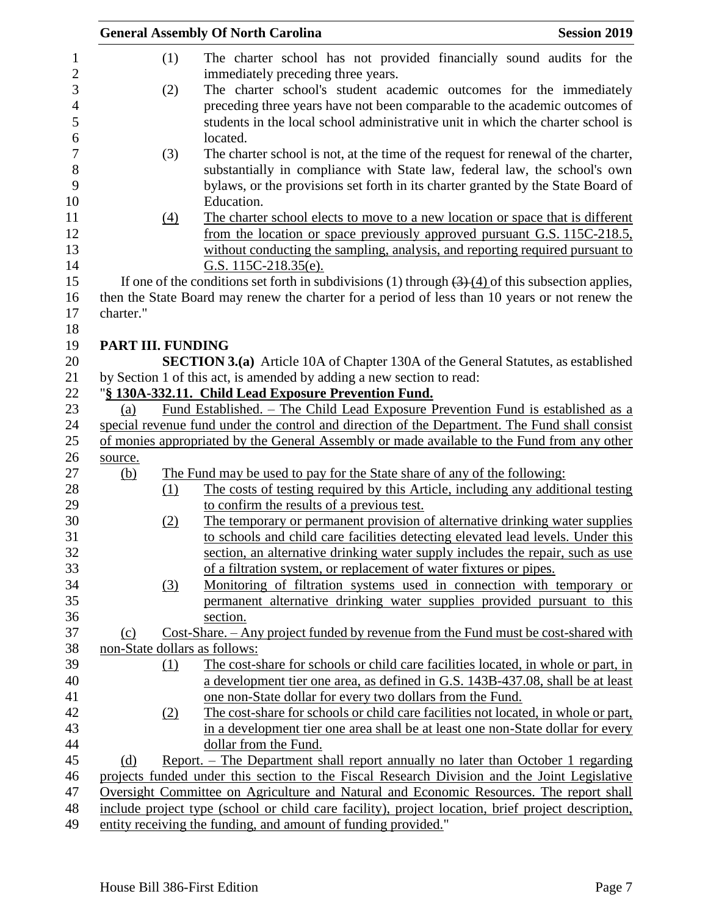| (1)                           | <b>General Assembly Of North Carolina</b><br><b>Session 2019</b>                                     |
|-------------------------------|------------------------------------------------------------------------------------------------------|
|                               | The charter school has not provided financially sound audits for the                                 |
|                               | immediately preceding three years.                                                                   |
| (2)                           | The charter school's student academic outcomes for the immediately                                   |
|                               | preceding three years have not been comparable to the academic outcomes of                           |
|                               | students in the local school administrative unit in which the charter school is                      |
|                               | located.                                                                                             |
| (3)                           | The charter school is not, at the time of the request for renewal of the charter,                    |
|                               | substantially in compliance with State law, federal law, the school's own                            |
|                               | bylaws, or the provisions set forth in its charter granted by the State Board of                     |
|                               | Education.                                                                                           |
| (4)                           | The charter school elects to move to a new location or space that is different                       |
|                               | from the location or space previously approved pursuant G.S. 115C-218.5,                             |
|                               | without conducting the sampling, analysis, and reporting required pursuant to                        |
|                               | G.S. $115C-218.35(e)$ .                                                                              |
|                               | If one of the conditions set forth in subdivisions (1) through $(3)$ (4) of this subsection applies, |
|                               | then the State Board may renew the charter for a period of less than 10 years or not renew the       |
| charter."                     |                                                                                                      |
|                               |                                                                                                      |
| <b>PART III. FUNDING</b>      |                                                                                                      |
|                               | <b>SECTION 3.(a)</b> Article 10A of Chapter 130A of the General Statutes, as established             |
|                               |                                                                                                      |
|                               | by Section 1 of this act, is amended by adding a new section to read:                                |
|                               | "§ 130A-332.11. Child Lead Exposure Prevention Fund.                                                 |
| (a)                           | <u>Fund Established. – The Child Lead Exposure Prevention Fund is established as a</u>               |
|                               | special revenue fund under the control and direction of the Department. The Fund shall consist       |
|                               | of monies appropriated by the General Assembly or made available to the Fund from any other          |
| source.                       |                                                                                                      |
|                               |                                                                                                      |
| <u>(b)</u>                    | The Fund may be used to pay for the State share of any of the following:                             |
| (1)                           | The costs of testing required by this Article, including any additional testing                      |
|                               | to confirm the results of a previous test.                                                           |
| (2)                           | The temporary or permanent provision of alternative drinking water supplies                          |
|                               | to schools and child care facilities detecting elevated lead levels. Under this                      |
|                               | section, an alternative drinking water supply includes the repair, such as use                       |
|                               | of a filtration system, or replacement of water fixtures or pipes.                                   |
| (3)                           | Monitoring of filtration systems used in connection with temporary or                                |
|                               | permanent alternative drinking water supplies provided pursuant to this                              |
|                               | section.                                                                                             |
| (c)                           | Cost-Share. - Any project funded by revenue from the Fund must be cost-shared with                   |
|                               |                                                                                                      |
| (1)                           | The cost-share for schools or child care facilities located, in whole or part, in                    |
|                               | a development tier one area, as defined in G.S. 143B-437.08, shall be at least                       |
|                               | one non-State dollar for every two dollars from the Fund.                                            |
| (2)                           | The cost-share for schools or child care facilities not located, in whole or part,                   |
|                               | in a development tier one area shall be at least one non-State dollar for every                      |
|                               | dollar from the Fund.                                                                                |
| (d)                           | Report. – The Department shall report annually no later than October 1 regarding                     |
|                               | projects funded under this section to the Fiscal Research Division and the Joint Legislative         |
|                               | Oversight Committee on Agriculture and Natural and Economic Resources. The report shall              |
| non-State dollars as follows: | include project type (school or child care facility), project location, brief project description,   |